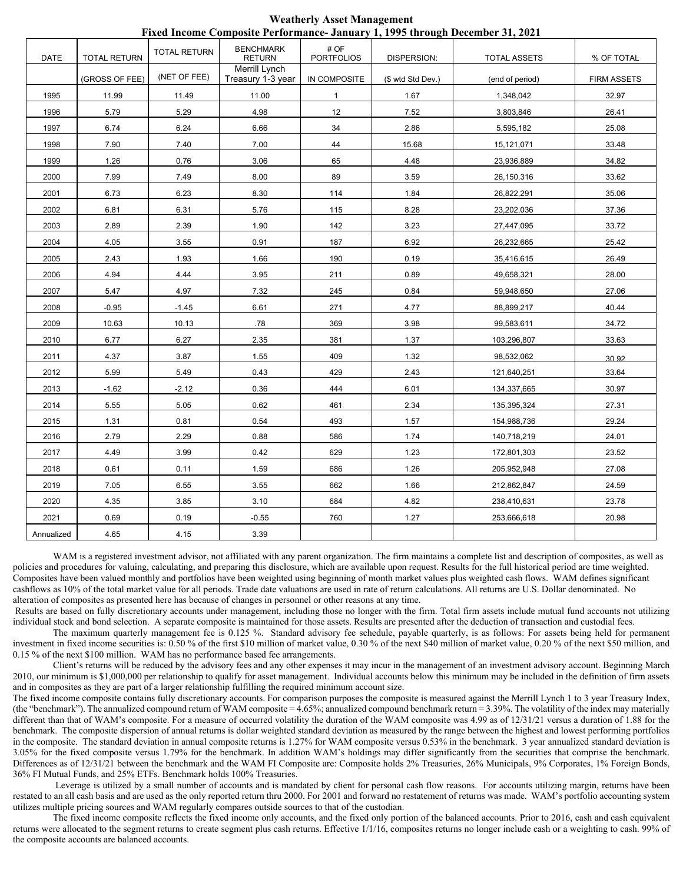|             |                     |                     |                                    |                           |                   | 1 iacu mcome composite i crioi mance "oanuary 1, 1770 un'ough December 01, 2021 |                    |
|-------------|---------------------|---------------------|------------------------------------|---------------------------|-------------------|---------------------------------------------------------------------------------|--------------------|
| <b>DATE</b> | <b>TOTAL RETURN</b> | <b>TOTAL RETURN</b> | <b>BENCHMARK</b><br><b>RETURN</b>  | # OF<br><b>PORTFOLIOS</b> | DISPERSION:       | <b>TOTAL ASSETS</b>                                                             | % OF TOTAL         |
|             | (GROSS OF FEE)      | (NET OF FEE)        | Merrill Lynch<br>Treasury 1-3 year | IN COMPOSITE              | (\$ wtd Std Dev.) | (end of period)                                                                 | <b>FIRM ASSETS</b> |
| 1995        | 11.99               | 11.49               | 11.00                              | $\mathbf{1}$              | 1.67              | 1,348,042                                                                       | 32.97              |
| 1996        | 5.79                | 5.29                | 4.98                               | 12                        | 7.52              | 3,803,846                                                                       | 26.41              |
| 1997        | 6.74                | 6.24                | 6.66                               | 34                        | 2.86              | 5,595,182                                                                       | 25.08              |
| 1998        | 7.90                | 7.40                | 7.00                               | 44                        | 15.68             | 15,121,071                                                                      | 33.48              |
| 1999        | 1.26                | 0.76                | 3.06                               | 65                        | 4.48              | 23,936,889                                                                      | 34.82              |
| 2000        | 7.99                | 7.49                | 8.00                               | 89                        | 3.59              | 26,150,316                                                                      | 33.62              |
| 2001        | 6.73                | 6.23                | 8.30                               | 114                       | 1.84              | 26,822,291                                                                      | 35.06              |
| 2002        | 6.81                | 6.31                | 5.76                               | 115                       | 8.28              | 23,202,036                                                                      | 37.36              |
| 2003        | 2.89                | 2.39                | 1.90                               | 142                       | 3.23              | 27,447,095                                                                      | 33.72              |
| 2004        | 4.05                | 3.55                | 0.91                               | 187                       | 6.92              | 26,232,665                                                                      | 25.42              |
| 2005        | 2.43                | 1.93                | 1.66                               | 190                       | 0.19              | 35,416,615                                                                      | 26.49              |
| 2006        | 4.94                | 4.44                | 3.95                               | 211                       | 0.89              | 49,658,321                                                                      | 28.00              |
| 2007        | 5.47                | 4.97                | 7.32                               | 245                       | 0.84              | 59,948,650                                                                      | 27.06              |
| 2008        | $-0.95$             | $-1.45$             | 6.61                               | 271                       | 4.77              | 88,899,217                                                                      | 40.44              |
| 2009        | 10.63               | 10.13               | .78                                | 369                       | 3.98              | 99,583,611                                                                      | 34.72              |
| 2010        | 6.77                | 6.27                | 2.35                               | 381                       | 1.37              | 103,296,807                                                                     | 33.63              |
| 2011        | 4.37                | 3.87                | 1.55                               | 409                       | 1.32              | 98,532,062                                                                      | 30.92              |
| 2012        | 5.99                | 5.49                | 0.43                               | 429                       | 2.43              | 121,640,251                                                                     | 33.64              |
| 2013        | $-1.62$             | $-2.12$             | 0.36                               | 444                       | 6.01              | 134,337,665                                                                     | 30.97              |
| 2014        | 5.55                | 5.05                | 0.62                               | 461                       | 2.34              | 135,395,324                                                                     | 27.31              |
| 2015        | 1.31                | 0.81                | 0.54                               | 493                       | 1.57              | 154,988,736                                                                     | 29.24              |
| 2016        | 2.79                | 2.29                | 0.88                               | 586                       | 1.74              | 140,718,219                                                                     | 24.01              |
| 2017        | 4.49                | 3.99                | 0.42                               | 629                       | 1.23              | 172,801,303                                                                     | 23.52              |
| 2018        | 0.61                | 0.11                | 1.59                               | 686                       | 1.26              | 205,952,948                                                                     | 27.08              |
| 2019        | 7.05                | 6.55                | 3.55                               | 662                       | 1.66              | 212,862,847                                                                     | 24.59              |
| 2020        | 4.35                | 3.85                | 3.10                               | 684                       | 4.82              | 238,410,631                                                                     | 23.78              |
| 2021        | 0.69                | 0.19                | $-0.55$                            | 760                       | 1.27              | 253,666,618                                                                     | 20.98              |
| Annualized  | 4.65                | 4.15                | 3.39                               |                           |                   |                                                                                 |                    |

**Weatherly Asset Management Fixed Income Composite Performance- January 1, 1995 through December 31, 2021** 

WAM is a registered investment advisor, not affiliated with any parent organization. The firm maintains a complete list and description of composites, as well as policies and procedures for valuing, calculating, and preparing this disclosure, which are available upon request. Results for the full historical period are time weighted. Composites have been valued monthly and portfolios have been weighted using beginning of month market values plus weighted cash flows. WAM defines significant cashflows as 10% of the total market value for all periods. Trade date valuations are used in rate of return calculations. All returns are U.S. Dollar denominated. No alteration of composites as presented here has because of changes in personnel or other reasons at any time.

 Results are based on fully discretionary accounts under management, including those no longer with the firm. Total firm assets include mutual fund accounts not utilizing individual stock and bond selection. A separate composite is maintained for those assets. Results are presented after the deduction of transaction and custodial fees.

The maximum quarterly management fee is 0.125 %. Standard advisory fee schedule, payable quarterly, is as follows: For assets being held for permanent investment in fixed income securities is: 0.50 % of the first \$10 million of market value, 0.30 % of the next \$40 million of market value, 0.20 % of the next \$50 million, and 0.15 % of the next \$100 million. WAM has no performance based fee arrangements.

Client's returns will be reduced by the advisory fees and any other expenses it may incur in the management of an investment advisory account. Beginning March 2010, our minimum is \$1,000,000 per relationship to qualify for asset management. Individual accounts below this minimum may be included in the definition of firm assets and in composites as they are part of a larger relationship fulfilling the required minimum account size.

The fixed income composite contains fully discretionary accounts. For comparison purposes the composite is measured against the Merrill Lynch 1 to 3 year Treasury Index, (the "benchmark"). The annualized compound return of WAM composite  $= 4.65\%$ ; annualized compound benchmark return  $= 3.39\%$ . The volatility of the index may materially different than that of WAM's composite. For a measure of occurred volatility the duration of the WAM composite was 4.99 as of 12/31/21 versus a duration of 1.88 for the benchmark. The composite dispersion of annual returns is dollar weighted standard deviation as measured by the range between the highest and lowest performing portfolios in the composite. The standard deviation in annual composite returns is 1.27% for WAM composite versus 0.53% in the benchmark. 3 year annualized standard deviation is 3.05% for the fixed composite versus 1.79% for the benchmark. In addition WAM's holdings may differ significantly from the securities that comprise the benchmark. Differences as of 12/31/21 between the benchmark and the WAM FI Composite are: Composite holds 2% Treasuries, 26% Municipals, 9% Corporates, 1% Foreign Bonds, 36% FI Mutual Funds, and 25% ETFs. Benchmark holds 100% Treasuries.

 Leverage is utilized by a small number of accounts and is mandated by client for personal cash flow reasons. For accounts utilizing margin, returns have been restated to an all cash basis and are used as the only reported return thru 2000. For 2001 and forward no restatement of returns was made. WAM's portfolio accounting system utilizes multiple pricing sources and WAM regularly compares outside sources to that of the custodian.

The fixed income composite reflects the fixed income only accounts, and the fixed only portion of the balanced accounts. Prior to 2016, cash and cash equivalent returns were allocated to the segment returns to create segment plus cash returns. Effective 1/1/16, composites returns no longer include cash or a weighting to cash. 99% of the composite accounts are balanced accounts.